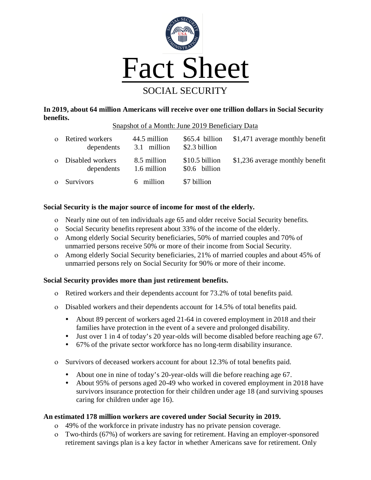

# **In 2019, about 64 million Americans will receive over one trillion dollars in Social Security benefits.**

## Snapshot of a Month: June 2019 Beneficiary Data

| o Retired workers<br>dependents  | 44.5 million<br>3.1 million | $$65.4$ billion<br>\$2.3 billion | \$1,471 average monthly benefit |
|----------------------------------|-----------------------------|----------------------------------|---------------------------------|
| o Disabled workers<br>dependents | 8.5 million<br>1.6 million  | \$10.5 billion<br>\$0.6 billion  | \$1,236 average monthly benefit |
| o Survivors                      | 6 million                   | \$7 billion                      |                                 |

# **Social Security is the major source of income for most of the elderly.**

- ο Nearly nine out of ten individuals age 65 and older receive Social Security benefits.
- ο Social Security benefits represent about 33% of the income of the elderly.
- ο Among elderly Social Security beneficiaries, 50% of married couples and 70% of unmarried persons receive 50% or more of their income from Social Security.
- ο Among elderly Social Security beneficiaries, 21% of married couples and about 45% of unmarried persons rely on Social Security for 90% or more of their income.

## **Social Security provides more than just retirement benefits.**

- ο Retired workers and their dependents account for 73.2% of total benefits paid.
- ο Disabled workers and their dependents account for 14.5% of total benefits paid.
	- About 89 percent of workers aged 21-64 in covered employment in 2018 and their families have protection in the event of a severe and prolonged disability.
	- Just over 1 in 4 of today's 20 year-olds will become disabled before reaching age 67.
	- 67% of the private sector workforce has no long-term disability insurance.
- ο Survivors of deceased workers account for about 12.3% of total benefits paid.
	- About one in nine of today's 20-year-olds will die before reaching age 67.
	- About 95% of persons aged 20-49 who worked in covered employment in 2018 have survivors insurance protection for their children under age 18 (and surviving spouses caring for children under age 16).

## **An estimated 178 million workers are covered under Social Security in 2019.**

- ο 49% of the workforce in private industry has no private pension coverage.
- ο Two-thirds (67%) of workers are saving for retirement. Having an employer-sponsored retirement savings plan is a key factor in whether Americans save for retirement. Only